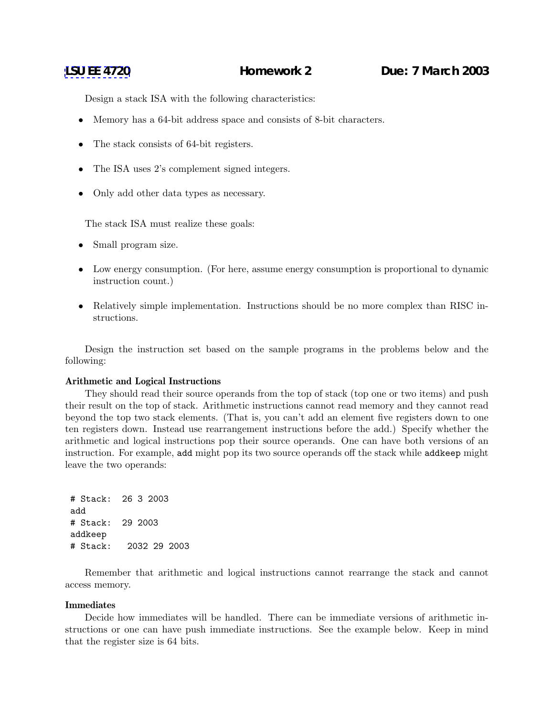Design a stack ISA with the following characteristics:

- Memory has a 64-bit address space and consists of 8-bit characters.
- The stack consists of 64-bit registers.
- The ISA uses 2's complement signed integers.
- Only add other data types as necessary.

The stack ISA must realize these goals:

- Small program size.
- Low energy consumption. (For here, assume energy consumption is proportional to dynamic instruction count.)
- Relatively simple implementation. Instructions should be no more complex than RISC instructions.

Design the instruction set based on the sample programs in the problems below and the following:

# **Arithmetic and Logical Instructions**

They should read their source operands from the top of stack (top one or two items) and push their result on the top of stack. Arithmetic instructions cannot read memory and they cannot read beyond the top two stack elements. (That is, you can't add an element five registers down to one ten registers down. Instead use rearrangement instructions before the add.) Specify whether the arithmetic and logical instructions pop their source operands. One can have both versions of an instruction. For example, add might pop its two source operands off the stack while addkeep might leave the two operands:

```
# Stack: 26 3 2003
add
# Stack: 29 2003
addkeep
# Stack: 2032 29 2003
```
Remember that arithmetic and logical instructions cannot rearrange the stack and cannot access memory.

## **Immediates**

Decide how immediates will be handled. There can be immediate versions of arithmetic instructions or one can have push immediate instructions. See the example below. Keep in mind that the register size is 64 bits.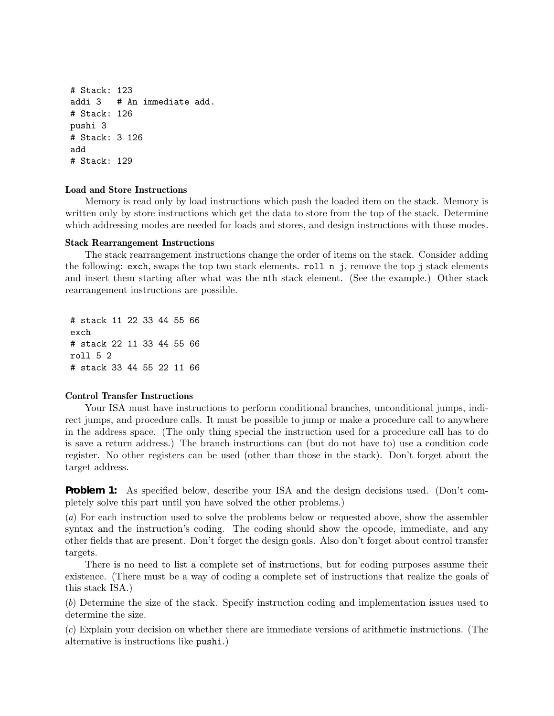```
# Stack: 123
addi 3 # An immediate add.
# Stack: 126
pushi 3
# Stack: 3 126
add
# Stack: 129
```
# **Load and Store Instructions**

Memory is read only by load instructions which push the loaded item on the stack. Memory is written only by store instructions which get the data to store from the top of the stack. Determine which addressing modes are needed for loads and stores, and design instructions with those modes.

### **Stack Rearrangement Instructions**

The stack rearrangement instructions change the order of items on the stack. Consider adding the following: exch, swaps the top two stack elements. roll  $\bf{n}$  j, remove the top j stack elements and insert them starting after what was the nth stack element. (See the example.) Other stack rearrangement instructions are possible.

# stack 11 22 33 44 55 66 exch # stack 22 11 33 44 55 66 roll 5 2 # stack 33 44 55 22 11 66

## **Control Transfer Instructions**

Your ISA must have instructions to perform conditional branches, unconditional jumps, indirect jumps, and procedure calls. It must be possible to jump or make a procedure call to anywhere in the address space. (The only thing special the instruction used for a procedure call has to do is save a return address.) The branch instructions can (but do not have to) use a condition code register. No other registers can be used (other than those in the stack). Don't forget about the target address.

**Problem 1:** As specified below, describe your ISA and the design decisions used. (Don't completely solve this part until you have solved the other problems.)

(*a*) For each instruction used to solve the problems below or requested above, show the assembler syntax and the instruction's coding. The coding should show the opcode, immediate, and any other fields that are present. Don't forget the design goals. Also don't forget about control transfer targets.

There is no need to list a complete set of instructions, but for coding purposes assume their existence. (There must be a way of coding a complete set of instructions that realize the goals of this stack ISA.)

(*b*) Determine the size of the stack. Specify instruction coding and implementation issues used to determine the size.

(*c*) Explain your decision on whether there are immediate versions of arithmetic instructions. (The alternative is instructions like pushi.)